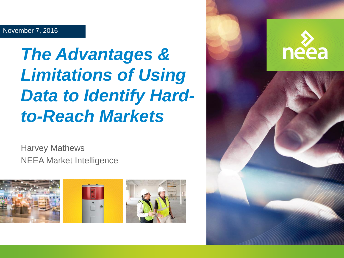### *The Advantages & Limitations of Using Data to Identify Hardto-Reach Markets*

Harvey Mathews NEEA Market Intelligence



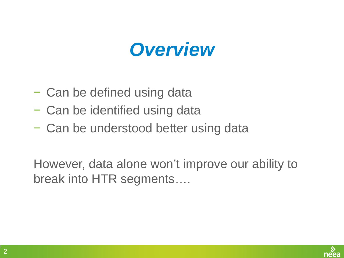### *Overview*

- − Can be defined using data
- − Can be identified using data
- − Can be understood better using data

However, data alone won't improve our ability to break into HTR segments….

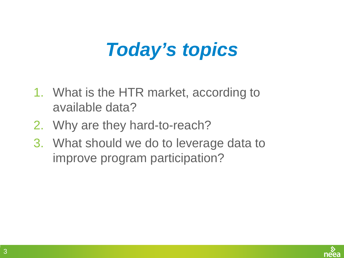# *Today's topics*

- 1. What is the HTR market, according to available data?
- 2. Why are they hard-to-reach?
- 3. What should we do to leverage data to improve program participation?

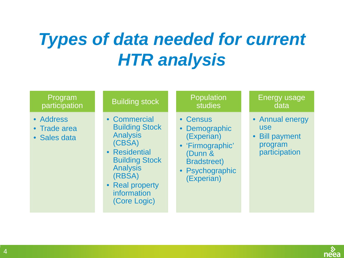#### *Types of data needed for current HTR analysis*

#### Program participation

- Address
- Trade area
- Sales data

#### Building stock

- Commercial Building Stock Analysis (CBSA)
- Residential Building Stock Analysis (RBSA)
- Real property information (Core Logic)

#### Population studies

- Census
- **Demographic** (Experian)
- 'Firmographic' (Dunn & Bradstreet)
- Psychographic (Experian)

#### Energy usage data

- Annual energy use
- Bill payment program participation

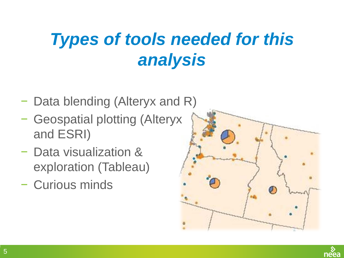#### *Types of tools needed for this analysis*

- − Data blending (Alteryx and R)
- − Geospatial plotting (Alteryx and ESRI)
- − Data visualization & exploration (Tableau)
- − Curious minds

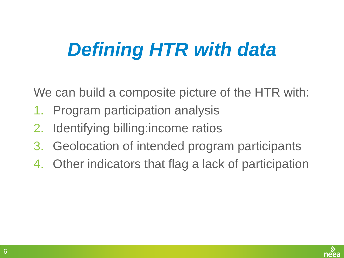# *Defining HTR with data*

We can build a composite picture of the HTR with:

- 1. Program participation analysis
- 2. Identifying billing:income ratios
- 3. Geolocation of intended program participants
- 4. Other indicators that flag a lack of participation

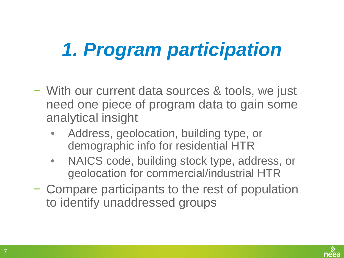# *1. Program participation*

- − With our current data sources & tools, we just need one piece of program data to gain some analytical insight
	- Address, geolocation, building type, or demographic info for residential HTR
	- NAICS code, building stock type, address, or geolocation for commercial/industrial HTR
- − Compare participants to the rest of population to identify unaddressed groups

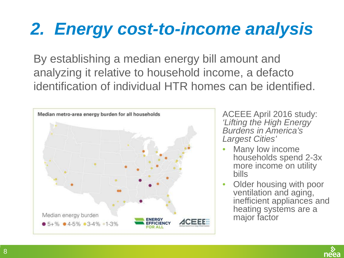### *2. Energy cost-to-income analysis*

By establishing a median energy bill amount and analyzing it relative to household income, a defacto identification of individual HTR homes can be identified.



ACEEE April 2016 study: *'Lifting the High Energy Burdens in America's Largest Cities'*

- Many low income households spend 2-3x more income on utility bills
- Older housing with poor ventilation and aging, inefficient appliances and heating systems are a major factor

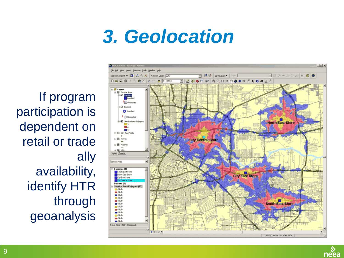# *3. Geolocation*

If program participation is dependent on retail or trade ally availability, identify HTR through geoanalysis



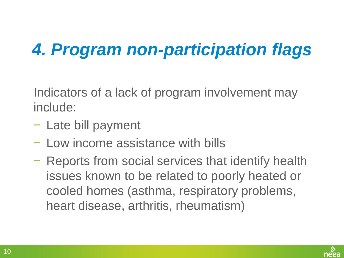### *4. Program non-participation flags*

Indicators of a lack of program involvement may include:

- − Late bill payment
- − Low income assistance with bills
- − Reports from social services that identify health issues known to be related to poorly heated or cooled homes (asthma, respiratory problems, heart disease, arthritis, rheumatism)

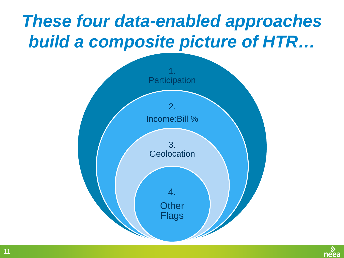### *These four data-enabled approaches build a composite picture of HTR…*



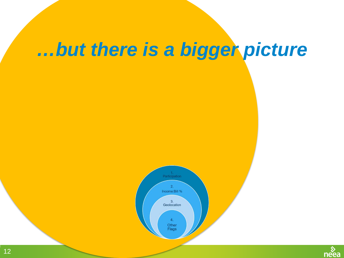### *…but there is a bigger picture*



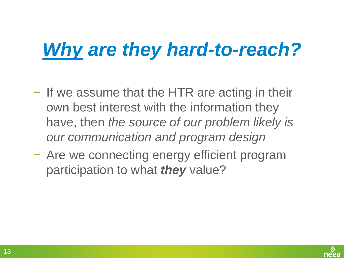# *Why are they hard-to-reach?*

- − If we assume that the HTR are acting in their own best interest with the information they have, then *the source of our problem likely is our communication and program design*
- − Are we connecting energy efficient program participation to what *they* value?

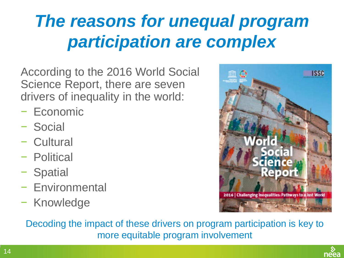### *The reasons for unequal program participation are complex*

According to the 2016 World Social Science Report, there are seven drivers of inequality in the world:

- − Economic
- − Social
- − Cultural
- − Political
- − Spatial
- − Environmental
- − Knowledge



Decoding the impact of these drivers on program participation is key to more equitable program involvement

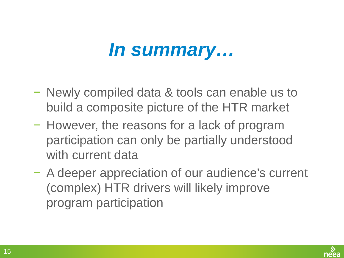### *In summary…*

- − Newly compiled data & tools can enable us to build a composite picture of the HTR market
- − However, the reasons for a lack of program participation can only be partially understood with current data
- − A deeper appreciation of our audience's current (complex) HTR drivers will likely improve program participation